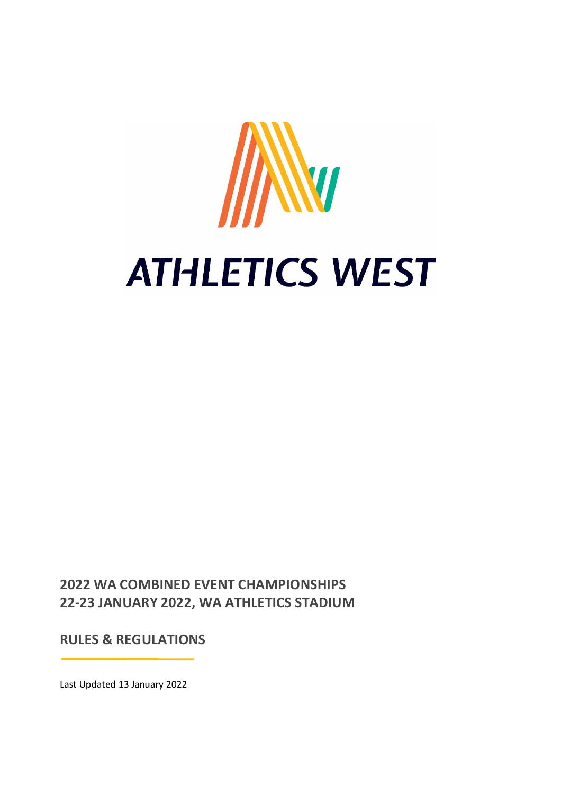

**2022 WA COMBINED EVENT CHAMPIONSHIPS 22-23 JANUARY 2022, WA ATHLETICS STADIUM**

**RULES & REGULATIONS**

Last Updated 13 January 2022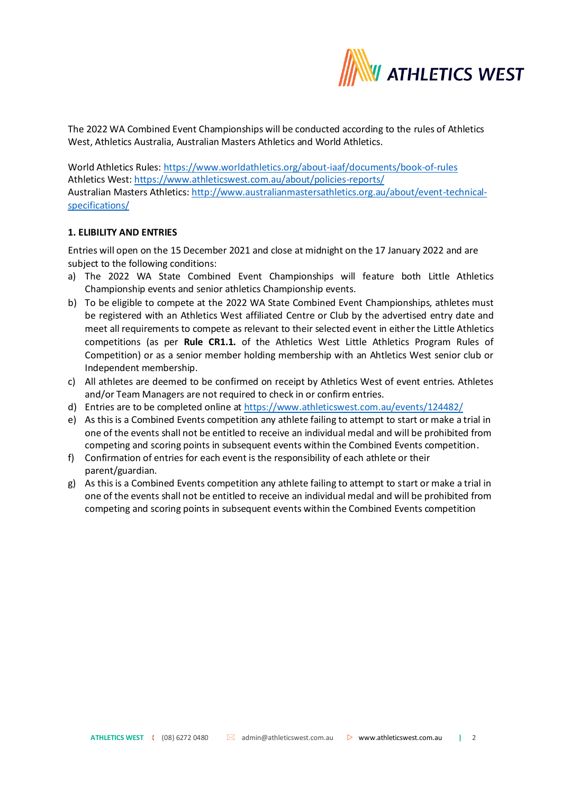

The 2022 WA Combined Event Championships will be conducted according to the rules of Athletics West, Athletics Australia, Australian Masters Athletics and World Athletics.

World Athletics Rules:<https://www.worldathletics.org/about-iaaf/documents/book-of-rules> Athletics West[: https://www.athleticswest.com.au/about/policies-reports/](https://www.athleticswest.com.au/about/policies-reports/) Australian Masters Athletics: [http://www.australianmastersathletics.org.au/about/event-technical](http://www.australianmastersathletics.org.au/about/event-technical-specifications/)[specifications/](http://www.australianmastersathletics.org.au/about/event-technical-specifications/)

# **1. ELIBILITY AND ENTRIES**

Entries will open on the 15 December 2021 and close at midnight on the 17 January 2022 and are subject to the following conditions:

- a) The 2022 WA State Combined Event Championships will feature both Little Athletics Championship events and senior athletics Championship events.
- b) To be eligible to compete at the 2022 WA State Combined Event Championships, athletes must be registered with an Athletics West affiliated Centre or Club by the advertised entry date and meet all requirements to compete as relevant to their selected event in either the Little Athletics competitions (as per **Rule CR1.1.** of the Athletics West Little Athletics Program Rules of Competition) or as a senior member holding membership with an Ahtletics West senior club or Independent membership.
- c) All athletes are deemed to be confirmed on receipt by Athletics West of event entries. Athletes and/or Team Managers are not required to check in or confirm entries.
- d) Entries are to be completed online a[t https://www.athleticswest.com.au/events/124482/](https://www.athleticswest.com.au/events/124482/)
- e) As this is a Combined Events competition any athlete failing to attempt to start or make a trial in one of the events shall not be entitled to receive an individual medal and will be prohibited from competing and scoring points in subsequent events within the Combined Events competition.
- f) Confirmation of entries for each event is the responsibility of each athlete or their parent/guardian.
- g) As this is a Combined Events competition any athlete failing to attempt to start or make a trial in one of the events shall not be entitled to receive an individual medal and will be prohibited from competing and scoring points in subsequent events within the Combined Events competition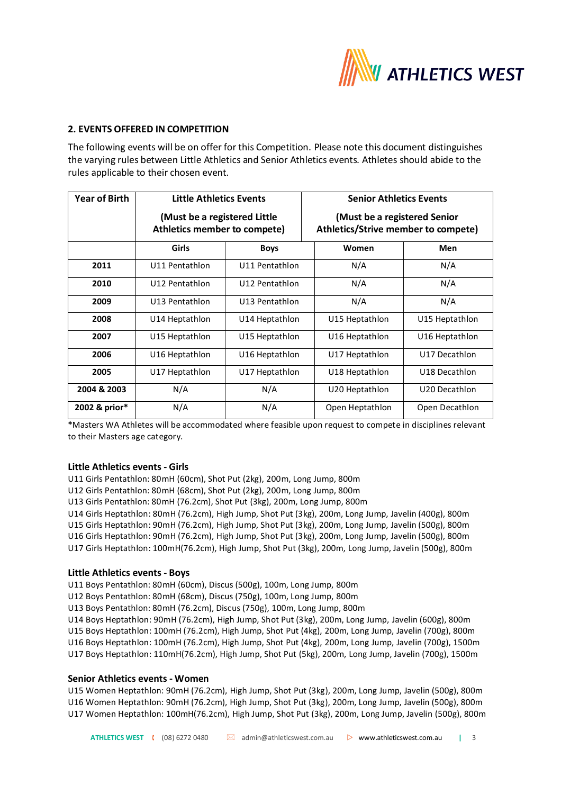

## **2. EVENTS OFFERED IN COMPETITION**

The following events will be on offer for this Competition. Please note this document distinguishes the varying rules between Little Athletics and Senior Athletics events. Athletes should abide to the rules applicable to their chosen event.

| <b>Year of Birth</b> | <b>Little Athletics Events</b>                               |                | <b>Senior Athletics Events</b>                                      |                |
|----------------------|--------------------------------------------------------------|----------------|---------------------------------------------------------------------|----------------|
|                      | (Must be a registered Little<br>Athletics member to compete) |                | (Must be a registered Senior<br>Athletics/Strive member to compete) |                |
|                      | Girls                                                        | <b>Boys</b>    | Women                                                               | Men            |
| 2011                 | U11 Pentathlon                                               | U11 Pentathlon | N/A                                                                 | N/A            |
| 2010                 | U12 Pentathlon                                               | U12 Pentathlon | N/A                                                                 | N/A            |
| 2009                 | U13 Pentathlon                                               | U13 Pentathlon | N/A                                                                 | N/A            |
| 2008                 | U14 Heptathlon                                               | U14 Heptathlon | U15 Heptathlon                                                      | U15 Heptathlon |
| 2007                 | U15 Heptathlon                                               | U15 Heptathlon | U16 Heptathlon                                                      | U16 Heptathlon |
| 2006                 | U16 Heptathlon                                               | U16 Heptathlon | U17 Heptathlon                                                      | U17 Decathlon  |
| 2005                 | U17 Heptathlon                                               | U17 Heptathlon | U18 Heptathlon                                                      | U18 Decathlon  |
| 2004 & 2003          | N/A                                                          | N/A            | U20 Heptathlon                                                      | U20 Decathlon  |
| 2002 & prior*        | N/A                                                          | N/A            | Open Heptathlon                                                     | Open Decathlon |

**\***Masters WA Athletes will be accommodated where feasible upon request to compete in disciplines relevant to their Masters age category.

#### **Little Athletics events - Girls**

U11 Girls Pentathlon: 80mH (60cm), Shot Put (2kg), 200m, Long Jump, 800m

U12 Girls Pentathlon: 80mH (68cm), Shot Put (2kg), 200m, Long Jump, 800m

U13 Girls Pentathlon: 80mH (76.2cm), Shot Put (3kg), 200m, Long Jump, 800m

U14 Girls Heptathlon: 80mH (76.2cm), High Jump, Shot Put (3kg), 200m, Long Jump, Javelin (400g), 800m U15 Girls Heptathlon: 90mH (76.2cm), High Jump, Shot Put (3kg), 200m, Long Jump, Javelin (500g), 800m U16 Girls Heptathlon: 90mH (76.2cm), High Jump, Shot Put (3kg), 200m, Long Jump, Javelin (500g), 800m U17 Girls Heptathlon: 100mH(76.2cm), High Jump, Shot Put (3kg), 200m, Long Jump, Javelin (500g), 800m

### **Little Athletics events - Boys**

U11 Boys Pentathlon: 80mH (60cm), Discus (500g), 100m, Long Jump, 800m

U12 Boys Pentathlon: 80mH (68cm), Discus (750g), 100m, Long Jump, 800m

U13 Boys Pentathlon: 80mH (76.2cm), Discus (750g), 100m, Long Jump, 800m

U14 Boys Heptathlon: 90mH (76.2cm), High Jump, Shot Put (3kg), 200m, Long Jump, Javelin (600g), 800m U15 Boys Heptathlon: 100mH (76.2cm), High Jump, Shot Put (4kg), 200m, Long Jump, Javelin (700g), 800m U16 Boys Heptathlon: 100mH (76.2cm), High Jump, Shot Put (4kg), 200m, Long Jump, Javelin (700g), 1500m U17 Boys Heptathlon: 110mH(76.2cm), High Jump, Shot Put (5kg), 200m, Long Jump, Javelin (700g), 1500m

### **Senior Athletics events - Women**

U15 Women Heptathlon: 90mH (76.2cm), High Jump, Shot Put (3kg), 200m, Long Jump, Javelin (500g), 800m U16 Women Heptathlon: 90mH (76.2cm), High Jump, Shot Put (3kg), 200m, Long Jump, Javelin (500g), 800m U17 Women Heptathlon: 100mH(76.2cm), High Jump, Shot Put (3kg), 200m, Long Jump, Javelin (500g), 800m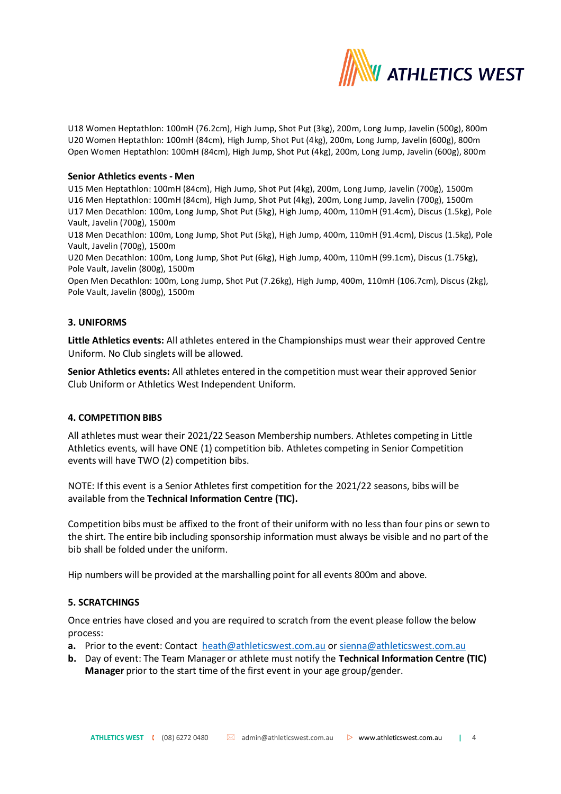

U18 Women Heptathlon: 100mH (76.2cm), High Jump, Shot Put (3kg), 200m, Long Jump, Javelin (500g), 800m U20 Women Heptathlon: 100mH (84cm), High Jump, Shot Put (4kg), 200m, Long Jump, Javelin (600g), 800m Open Women Heptathlon: 100mH (84cm), High Jump, Shot Put (4kg), 200m, Long Jump, Javelin (600g), 800m

### **Senior Athletics events - Men**

U15 Men Heptathlon: 100mH (84cm), High Jump, Shot Put (4kg), 200m, Long Jump, Javelin (700g), 1500m U16 Men Heptathlon: 100mH (84cm), High Jump, Shot Put (4kg), 200m, Long Jump, Javelin (700g), 1500m U17 Men Decathlon: 100m, Long Jump, Shot Put (5kg), High Jump, 400m, 110mH (91.4cm), Discus (1.5kg), Pole Vault, Javelin (700g), 1500m

U18 Men Decathlon: 100m, Long Jump, Shot Put (5kg), High Jump, 400m, 110mH (91.4cm), Discus (1.5kg), Pole Vault, Javelin (700g), 1500m

U20 Men Decathlon: 100m, Long Jump, Shot Put (6kg), High Jump, 400m, 110mH (99.1cm), Discus (1.75kg), Pole Vault, Javelin (800g), 1500m

Open Men Decathlon: 100m, Long Jump, Shot Put (7.26kg), High Jump, 400m, 110mH (106.7cm), Discus (2kg), Pole Vault, Javelin (800g), 1500m

### **3. UNIFORMS**

**Little Athletics events:** All athletes entered in the Championships must wear their approved Centre Uniform. No Club singlets will be allowed.

**Senior Athletics events:** All athletes entered in the competition must wear their approved Senior Club Uniform or Athletics West Independent Uniform.

### **4. COMPETITION BIBS**

All athletes must wear their 2021/22 Season Membership numbers. Athletes competing in Little Athletics events, will have ONE (1) competition bib. Athletes competing in Senior Competition events will have TWO (2) competition bibs.

NOTE: If this event is a Senior Athletes first competition for the 2021/22 seasons, bibs will be available from the **Technical Information Centre (TIC).**

Competition bibs must be affixed to the front of their uniform with no less than four pins or sewn to the shirt. The entire bib including sponsorship information must always be visible and no part of the bib shall be folded under the uniform.

Hip numbers will be provided at the marshalling point for all events 800m and above.

# **5. SCRATCHINGS**

Once entries have closed and you are required to scratch from the event please follow the below process:

- **a.** Prior to the event: Contact [heath@athleticswest.com.au](mailto:heath@athleticswest.com.au) o[r sienna@athleticswest.com.au](mailto:sienna@athleticswest.com.au)
- **b.** Day of event: The Team Manager or athlete must notify the **Technical Information Centre (TIC) Manager** prior to the start time of the first event in your age group/gender.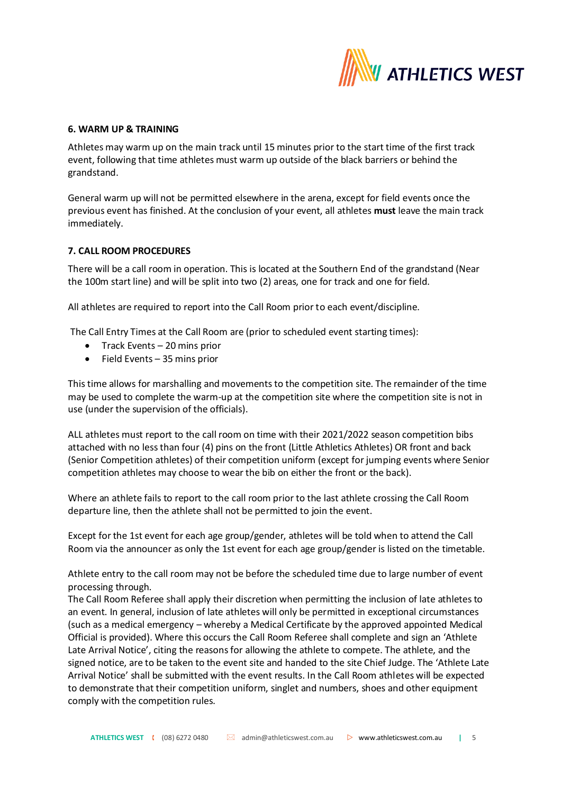

### **6. WARM UP & TRAINING**

Athletes may warm up on the main track until 15 minutes prior to the start time of the first track event, following that time athletes must warm up outside of the black barriers or behind the grandstand.

General warm up will not be permitted elsewhere in the arena, except for field events once the previous event has finished. At the conclusion of your event, all athletes **must** leave the main track immediately.

### **7. CALL ROOM PROCEDURES**

There will be a call room in operation. This is located at the Southern End of the grandstand (Near the 100m start line) and will be split into two (2) areas, one for track and one for field.

All athletes are required to report into the Call Room prior to each event/discipline.

The Call Entry Times at the Call Room are (prior to scheduled event starting times):

- Track Events 20 mins prior
- Field Events 35 mins prior

This time allows for marshalling and movements to the competition site. The remainder of the time may be used to complete the warm-up at the competition site where the competition site is not in use (under the supervision of the officials).

ALL athletes must report to the call room on time with their 2021/2022 season competition bibs attached with no less than four (4) pins on the front (Little Athletics Athletes) OR front and back (Senior Competition athletes) of their competition uniform (except for jumping events where Senior competition athletes may choose to wear the bib on either the front or the back).

Where an athlete fails to report to the call room prior to the last athlete crossing the Call Room departure line, then the athlete shall not be permitted to join the event.

Except for the 1st event for each age group/gender, athletes will be told when to attend the Call Room via the announcer as only the 1st event for each age group/gender is listed on the timetable.

Athlete entry to the call room may not be before the scheduled time due to large number of event processing through.

The Call Room Referee shall apply their discretion when permitting the inclusion of late athletes to an event. In general, inclusion of late athletes will only be permitted in exceptional circumstances (such as a medical emergency – whereby a Medical Certificate by the approved appointed Medical Official is provided). Where this occurs the Call Room Referee shall complete and sign an 'Athlete Late Arrival Notice', citing the reasons for allowing the athlete to compete. The athlete, and the signed notice, are to be taken to the event site and handed to the site Chief Judge. The 'Athlete Late Arrival Notice' shall be submitted with the event results. In the Call Room athletes will be expected to demonstrate that their competition uniform, singlet and numbers, shoes and other equipment comply with the competition rules.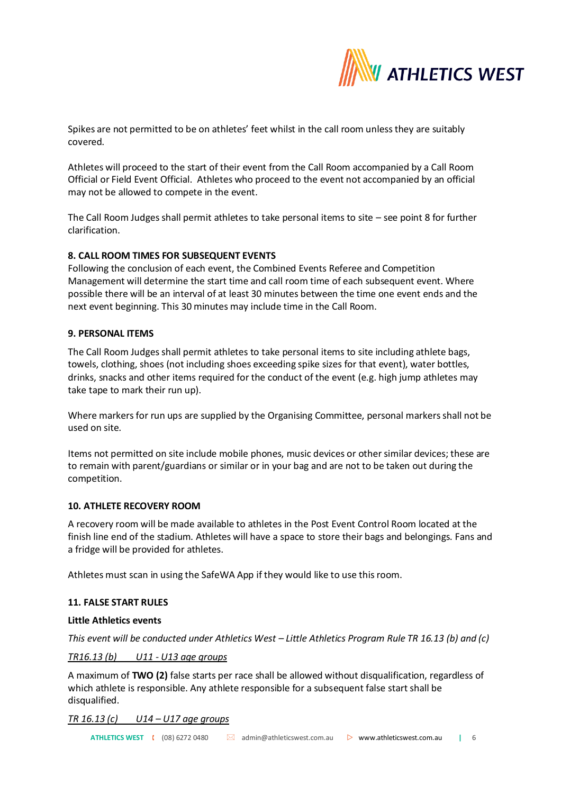

Spikes are not permitted to be on athletes' feet whilst in the call room unless they are suitably covered.

Athletes will proceed to the start of their event from the Call Room accompanied by a Call Room Official or Field Event Official. Athletes who proceed to the event not accompanied by an official may not be allowed to compete in the event.

The Call Room Judges shall permit athletes to take personal items to site – see point 8 for further clarification.

# **8. CALL ROOM TIMES FOR SUBSEQUENT EVENTS**

Following the conclusion of each event, the Combined Events Referee and Competition Management will determine the start time and call room time of each subsequent event. Where possible there will be an interval of at least 30 minutes between the time one event ends and the next event beginning. This 30 minutes may include time in the Call Room.

### **9. PERSONAL ITEMS**

The Call Room Judges shall permit athletes to take personal items to site including athlete bags, towels, clothing, shoes (not including shoes exceeding spike sizes for that event), water bottles, drinks, snacks and other items required for the conduct of the event (e.g. high jump athletes may take tape to mark their run up).

Where markers for run ups are supplied by the Organising Committee, personal markers shall not be used on site.

Items not permitted on site include mobile phones, music devices or other similar devices; these are to remain with parent/guardians or similar or in your bag and are not to be taken out during the competition.

### **10. ATHLETE RECOVERY ROOM**

A recovery room will be made available to athletes in the Post Event Control Room located at the finish line end of the stadium. Athletes will have a space to store their bags and belongings. Fans and a fridge will be provided for athletes.

Athletes must scan in using the SafeWA App if they would like to use this room.

### **11. FALSE START RULES**

### **Little Athletics events**

*This event will be conducted under Athletics West – Little Athletics Program Rule TR 16.13 (b) and (c)*

### *TR16.13 (b) U11 - U13 age groups*

A maximum of **TWO (2)** false starts per race shall be allowed without disqualification, regardless of which athlete is responsible. Any athlete responsible for a subsequent false start shall be disqualified.

### *TR 16.13 (c) U14 – U17 age groups*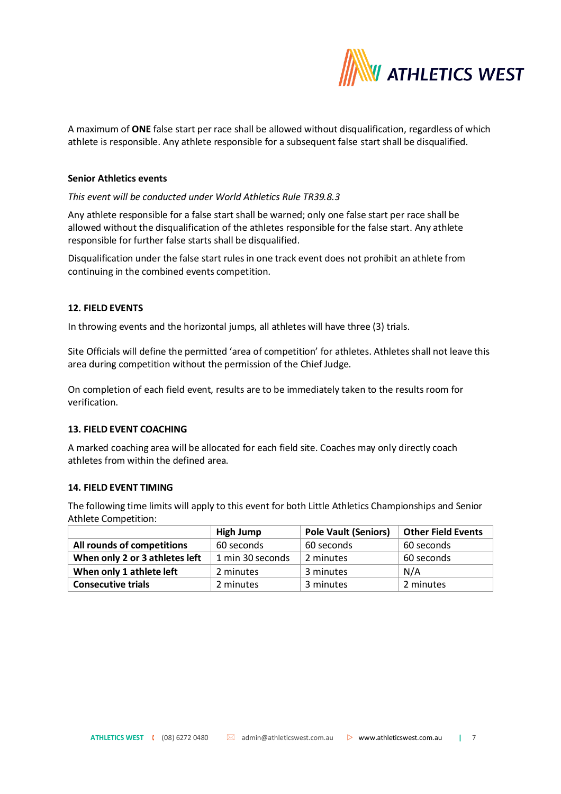

A maximum of **ONE** false start per race shall be allowed without disqualification, regardless of which athlete is responsible. Any athlete responsible for a subsequent false start shall be disqualified.

#### **Senior Athletics events**

# *This event will be conducted under World Athletics Rule TR39.8.3*

Any athlete responsible for a false start shall be warned; only one false start per race shall be allowed without the disqualification of the athletes responsible for the false start. Any athlete responsible for further false starts shall be disqualified.

Disqualification under the false start rules in one track event does not prohibit an athlete from continuing in the combined events competition.

### **12. FIELD EVENTS**

In throwing events and the horizontal jumps, all athletes will have three (3) trials.

Site Officials will define the permitted 'area of competition' for athletes. Athletes shall not leave this area during competition without the permission of the Chief Judge.

On completion of each field event, results are to be immediately taken to the results room for verification.

# **13. FIELD EVENT COACHING**

A marked coaching area will be allocated for each field site. Coaches may only directly coach athletes from within the defined area.

#### **14. FIELD EVENT TIMING**

The following time limits will apply to this event for both Little Athletics Championships and Senior Athlete Competition:

|                                | High Jump        | <b>Pole Vault (Seniors)</b> | <b>Other Field Events</b> |
|--------------------------------|------------------|-----------------------------|---------------------------|
| All rounds of competitions     | 60 seconds       | 60 seconds                  | 60 seconds                |
| When only 2 or 3 athletes left | 1 min 30 seconds | 2 minutes                   | 60 seconds                |
| When only 1 athlete left       | 2 minutes        | 3 minutes                   | N/A                       |
| <b>Consecutive trials</b>      | 2 minutes        | 3 minutes                   | 2 minutes                 |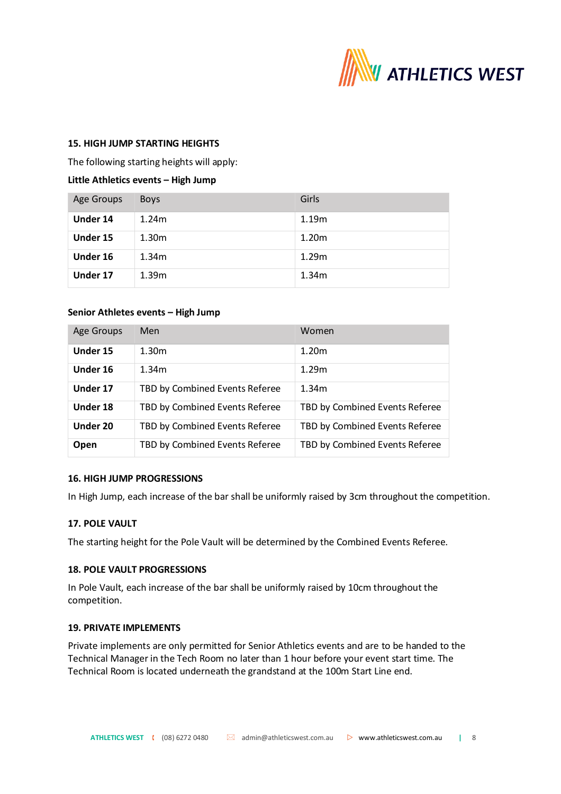

### **15. HIGH JUMP STARTING HEIGHTS**

The following starting heights will apply:

# **Little Athletics events – High Jump**

| Age Groups | <b>Boys</b>       | Girls             |
|------------|-------------------|-------------------|
| Under 14   | 1.24 <sub>m</sub> | 1.19m             |
| Under 15   | 1.30 <sub>m</sub> | 1.20 <sub>m</sub> |
| Under 16   | 1.34 <sub>m</sub> | 1.29m             |
| Under 17   | 1.39 <sub>m</sub> | 1.34m             |

### **Senior Athletes events – High Jump**

| Age Groups | Men                            | Women                          |
|------------|--------------------------------|--------------------------------|
| Under 15   | 1.30 <sub>m</sub>              | 1.20 <sub>m</sub>              |
| Under 16   | 1.34 <sub>m</sub>              | 1.29 <sub>m</sub>              |
| Under 17   | TBD by Combined Events Referee | 1.34 <sub>m</sub>              |
| Under 18   | TBD by Combined Events Referee | TBD by Combined Events Referee |
| Under 20   | TBD by Combined Events Referee | TBD by Combined Events Referee |
| Open       | TBD by Combined Events Referee | TBD by Combined Events Referee |

### **16. HIGH JUMP PROGRESSIONS**

In High Jump, each increase of the bar shall be uniformly raised by 3cm throughout the competition.

# **17. POLE VAULT**

The starting height for the Pole Vault will be determined by the Combined Events Referee.

### **18. POLE VAULT PROGRESSIONS**

In Pole Vault, each increase of the bar shall be uniformly raised by 10cm throughout the competition.

### **19. PRIVATE IMPLEMENTS**

Private implements are only permitted for Senior Athletics events and are to be handed to the Technical Manager in the Tech Room no later than 1 hour before your event start time. The Technical Room is located underneath the grandstand at the 100m Start Line end.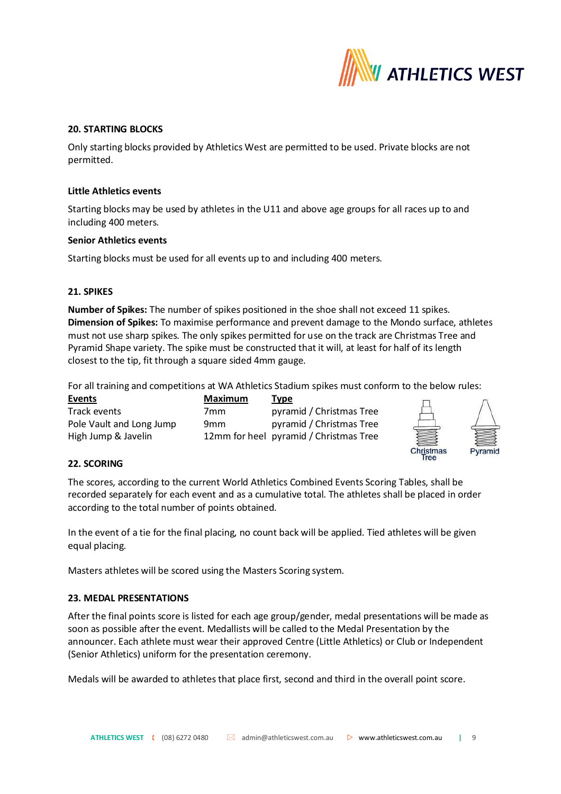

### **20. STARTING BLOCKS**

Only starting blocks provided by Athletics West are permitted to be used. Private blocks are not permitted.

### **Little Athletics events**

Starting blocks may be used by athletes in the U11 and above age groups for all races up to and including 400 meters.

#### **Senior Athletics events**

Starting blocks must be used for all events up to and including 400 meters.

### **21. SPIKES**

**Number of Spikes:** The number of spikes positioned in the shoe shall not exceed 11 spikes. **Dimension of Spikes:** To maximise performance and prevent damage to the Mondo surface, athletes must not use sharp spikes. The only spikes permitted for use on the track are Christmas Tree and Pyramid Shape variety. The spike must be constructed that it will, at least for half of its length closest to the tip, fit through a square sided 4mm gauge.

For all training and competitions at WA Athletics Stadium spikes must conform to the below rules:

| Events                   | <b>Maximum</b>  | <b>Type</b>                            |
|--------------------------|-----------------|----------------------------------------|
| Track events             | 7mm             | pyramid / Christmas Tree               |
| Pole Vault and Long Jump | 9 <sub>mm</sub> | pyramid / Christmas Tree               |
| High Jump & Javelin      |                 | 12mm for heel pyramid / Christmas Tree |



### **22. SCORING**

The scores, according to the current World Athletics Combined Events Scoring Tables, shall be recorded separately for each event and as a cumulative total. The athletes shall be placed in order according to the total number of points obtained.

In the event of a tie for the final placing, no count back will be applied. Tied athletes will be given equal placing.

Masters athletes will be scored using the Masters Scoring system.

### **23. MEDAL PRESENTATIONS**

After the final points score is listed for each age group/gender, medal presentations will be made as soon as possible after the event. Medallists will be called to the Medal Presentation by the announcer. Each athlete must wear their approved Centre (Little Athletics) or Club or Independent (Senior Athletics) uniform for the presentation ceremony.

Medals will be awarded to athletes that place first, second and third in the overall point score.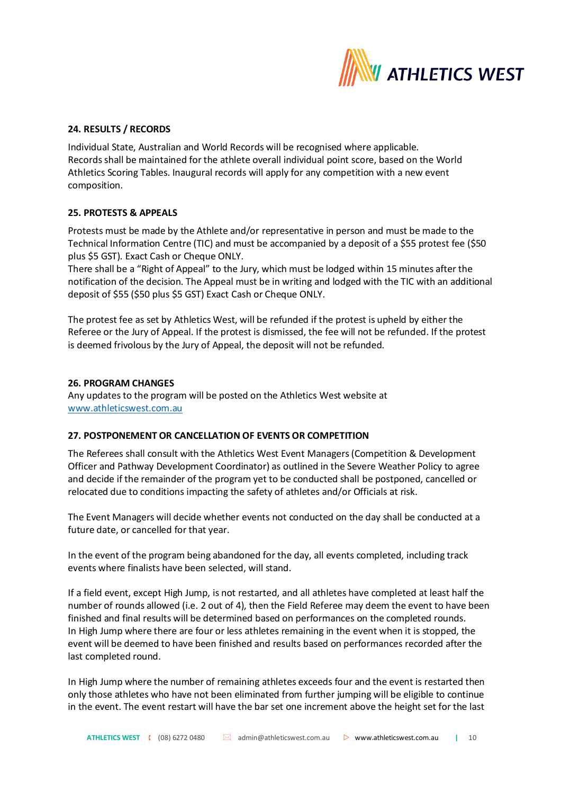

## **24. RESULTS / RECORDS**

Individual State, Australian and World Records will be recognised where applicable. Records shall be maintained for the athlete overall individual point score, based on the World Athletics Scoring Tables. Inaugural records will apply for any competition with a new event composition.

### **25. PROTESTS & APPEALS**

Protests must be made by the Athlete and/or representative in person and must be made to the Technical Information Centre (TIC) and must be accompanied by a deposit of a \$55 protest fee (\$50 plus \$5 GST). Exact Cash or Cheque ONLY.

There shall be a "Right of Appeal" to the Jury, which must be lodged within 15 minutes after the notification of the decision. The Appeal must be in writing and lodged with the TIC with an additional deposit of \$55 (\$50 plus \$5 GST) Exact Cash or Cheque ONLY.

The protest fee as set by Athletics West, will be refunded if the protest is upheld by either the Referee or the Jury of Appeal. If the protest is dismissed, the fee will not be refunded. If the protest is deemed frivolous by the Jury of Appeal, the deposit will not be refunded.

### **26. PROGRAM CHANGES**

Any updates to the program will be posted on the Athletics West website at [www.athleticswest.com.au](http://www.athleticswest.com.au/)

### **27. POSTPONEMENT OR CANCELLATION OF EVENTS OR COMPETITION**

The Referees shall consult with the Athletics West Event Managers (Competition & Development Officer and Pathway Development Coordinator) as outlined in the Severe Weather Policy to agree and decide if the remainder of the program yet to be conducted shall be postponed, cancelled or relocated due to conditions impacting the safety of athletes and/or Officials at risk.

The Event Managers will decide whether events not conducted on the day shall be conducted at a future date, or cancelled for that year.

In the event of the program being abandoned for the day, all events completed, including track events where finalists have been selected, will stand.

If a field event, except High Jump, is not restarted, and all athletes have completed at least half the number of rounds allowed (i.e. 2 out of 4), then the Field Referee may deem the event to have been finished and final results will be determined based on performances on the completed rounds. In High Jump where there are four or less athletes remaining in the event when it is stopped, the event will be deemed to have been finished and results based on performances recorded after the last completed round.

In High Jump where the number of remaining athletes exceeds four and the event is restarted then only those athletes who have not been eliminated from further jumping will be eligible to continue in the event. The event restart will have the bar set one increment above the height set for the last